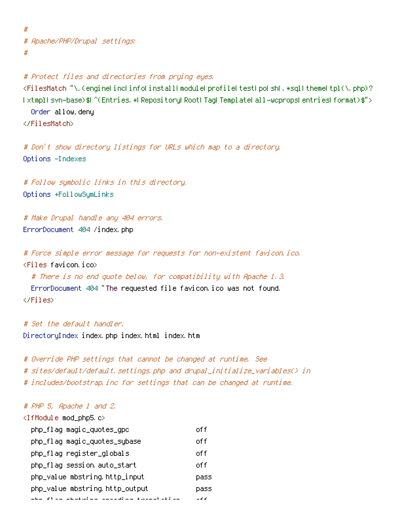# # Apache/PHP/Drupal settings: #

# Protect files and directories from prying eyes. <FilesMatch "\.(engine|inc|info|install|module|profile|test|po|sh|.\*sql|theme|tpl(\.php)? |xtmpl|svn-base)\$|^(Entries.\*|Repository|Root|Tag|Template|all-wcprops|entries|format)\$"> Order allow,deny </FilesMatch>

# Don't show directory listings for URLs which map to <sup>a</sup> directory. Options -Indexes

# Follow symbolic links in this directory. Options +FollowSymLinks

```
# Make Drupal handle any 404 errors.
ErrorDocument 404 /index.php
```
# Force simple error message for requests for non-existent favicon.ico. <Files favicon.ico>

# There is no end quote below, for compatibility with Apache 1.3.

ErrorDocument 404 "The requested file favicon.ico was not found. </Files>

# Set the default handler. DirectoryIndex index.php index.html index.htm

# Override PHP settings that cannot be changed at runtime. See # sites/default/default.settings.php and drupal\_initialize\_variables() in # includes/bootstrap.inc for settings that can be changed at runtime.

## # PHP 5, Apache 1 and 2.

| <ifmodule mod_php5.c=""></ifmodule> |      |
|-------------------------------------|------|
| php_flag magic_quotes_gpc           | off  |
| php_flag magic_quotes_sybase        | off  |
| php_flag register_globals           | off  |
| php_flag session auto_start         | nff  |
| php_value mbstring.http_input       | pass |
| php_value mbstring.http_output      | Dass |
| a a canada a canada a tuas distri   |      |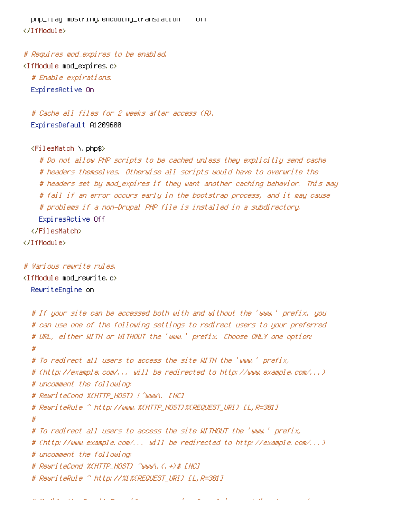php\_flag mbstring.encoding\_translation off </IfModule>

# Requires mod\_expires to be enabled.

<IfModule mod\_expires.c> # Enable expirations. ExpiresActive On

# Cache all files for 2 weeks after access (A). ExpiresDefault A1209600

## <FilesMatch \.php\$>

# Do not allow PHP scripts to be cached unless they explicitly send cache # headers themselves. Otherwise all scripts would have to overwrite the # headers set by mod\_expires if they want another caching behavior. This may # fail if an error occurs early in the bootstrap process, and it may cause # problems if <sup>a</sup> non-Drupal PHP file is installed in <sup>a</sup> subdirectory. ExpiresActive Off </FilesMatch> </IfModule>

## # Various rewrite rules.

 $\langle$ IfModule mod rewrite.c $\rangle$ RewriteEngine on

```
# If your site can be accessed both with and without the 'www.' prefix, you
# can use one of the following settings to redirect users to your preferred
# URL, either WITH or WITHOUT the 'www.' prefix. Choose ONLY one option:
#
# To redirect all users to access the site WITH the 'www.' prefix,
# (http://example.com/... will be redirected to http://www.example.com/...)
# uncomment the following:
# RewriteCond %{HTTP_HOST} !^www\. [NC]
# RewriteRule ^ http://www.%{HTTP_HOST}%{REQUEST_URI} [L,R=301]
#
# To redirect all users to access the site WITHOUT the 'www.' prefix,
# (http://www.example.com/... will be redirected to http://example.com/...)
# uncomment the following:
# RewriteCond %{HTTP_HOST} ^www\.(.+)$ [NC]
# RewriteRule ^ http://%1%{REQUEST_URI} [L,R=301]
```